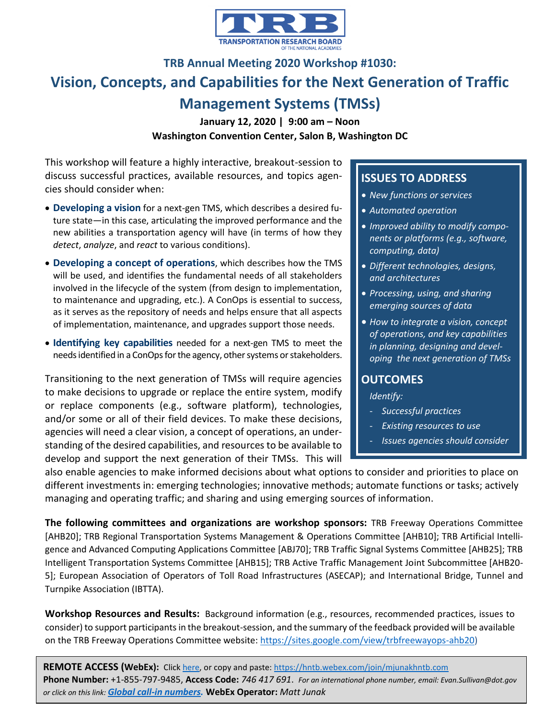

# **TRB Annual Meeting 2020 Workshop #1030: Vision, Concepts, and Capabilities for the Next Generation of Traffic Management Systems (TMSs)**

**January 12, 2020 | 9:00 am – Noon Washington Convention Center, Salon B, Washington DC**

This workshop will feature a highly interactive, breakout-session to discuss successful practices, available resources, and topics agencies should consider when:

- **Developing a vision** for a next-gen TMS, which describes a desired future state—in this case, articulating the improved performance and the new abilities a transportation agency will have (in terms of how they *detect*, *analyze*, and *react* to various conditions).
- **Developing a concept of operations**, which describes how the TMS will be used, and identifies the fundamental needs of all stakeholders involved in the lifecycle of the system (from design to implementation, to maintenance and upgrading, etc.). A ConOps is essential to success, as it serves as the repository of needs and helps ensure that all aspects of implementation, maintenance, and upgrades support those needs.
- **Identifying key capabilities** needed for a next-gen TMS to meet the needs identified in a ConOps for the agency, other systems or stakeholders.

Transitioning to the next generation of TMSs will require agencies to make decisions to upgrade or replace the entire system, modify or replace components (e.g., software platform), technologies, and/or some or all of their field devices. To make these decisions, agencies will need a clear vision, a concept of operations, an understanding of the desired capabilities, and resources to be available to develop and support the next generation of their TMSs. This will

## **ISSUES TO ADDRESS**

- *New functions or services*
- *Automated operation*
- *Improved ability to modify components or platforms (e.g., software, computing, data)*
- *Different technologies, designs, and architectures*
- *Processing, using, and sharing emerging sources of data*
- *How to integrate a vision, concept of operations, and key capabilities in planning, designing and developing the next generation of TMSs*

### **OUTCOMES**

*Identify:*

- *Successful practices*
- *Existing resources to use*
- *Issues agencies should consider*

also enable agencies to make informed decisions about what options to consider and priorities to place on different investments in: emerging technologies; innovative methods; automate functions or tasks; actively managing and operating traffic; and sharing and using emerging sources of information.

**The following committees and organizations are workshop sponsors:** TRB Freeway Operations Committee [AHB20]; TRB Regional Transportation Systems Management & Operations Committee [AHB10]; TRB Artificial Intelligence and Advanced Computing Applications Committee [ABJ70]; TRB Traffic Signal Systems Committee [AHB25]; TRB Intelligent Transportation Systems Committee [AHB15]; TRB Active Traffic Management Joint Subcommittee [AHB20- 5]; European Association of Operators of Toll Road Infrastructures (ASECAP); and International Bridge, Tunnel and Turnpike Association (IBTTA).

**Workshop Resources and Results:** Background information (e.g., resources, recommended practices, issues to consider) to support participants in the breakout-session, and the summary of the feedback provided will be available on the TRB Freeway Operations Committee website[: https://sites.google.com/view/trbfreewayops-ahb20\)](https://sites.google.com/view/trbfreewayops-ahb20)

**REMOTE ACCESS (WebEx):** Click [here,](https://hntb.webex.com/join/mjunakhntb.com) or copy and paste:<https://hntb.webex.com/join/mjunakhntb.com> **Phone Number:** +1-855-797-9485, **Access Code:** *746 417 691*. *For an international phone number, email: Evan.Sullivan@dot.gov or click on this link: [Global call-in numbers.](https://hntb.webex.com/cmp3300/webcomponents/widget/globalcallin/globalcallin.do?siteurl=hntb&serviceType=MC&ED=368192542&tollFree=1)* **WebEx Operator:** *Matt Junak*